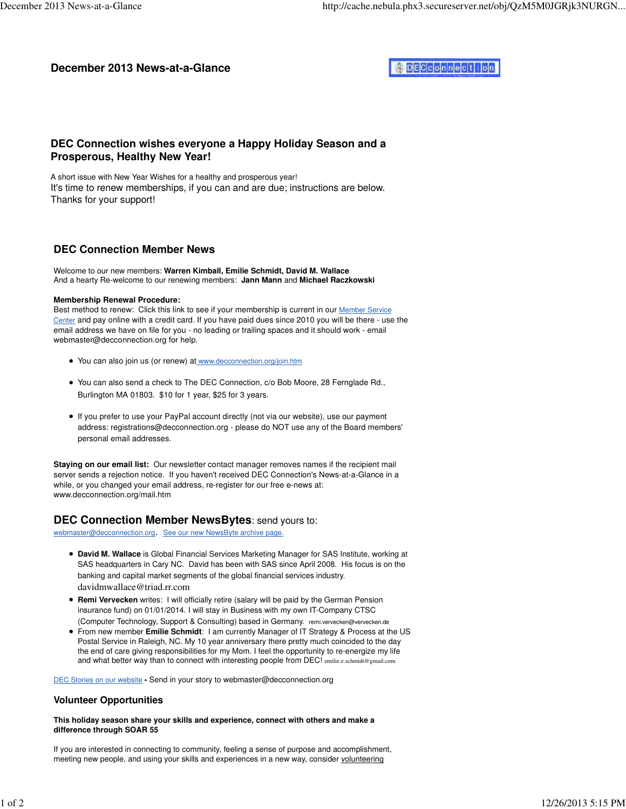# **December 2013 News-at-a-Glance**



# **DEC Connection wishes everyone a Happy Holiday Season and a Prosperous, Healthy New Year!**

A short issue with New Year Wishes for a healthy and prosperous year! It's time to renew memberships, if you can and are due; instructions are below. Thanks for your support!

## **DEC Connection Member News**

Welcome to our new members: **Warren Kimball, Emilie Schmidt, David M. Wallace** And a hearty Re-welcome to our renewing members: **Jann Mann** and **Michael Raczkowski**

#### **Membership Renewal Procedure:**

Best method to renew: Click this link to see if your membership is current in our Member Service Center and pay online with a credit card. If you have paid dues since 2010 you will be there - use the email address we have on file for you - no leading or trailing spaces and it should work - email webmaster@decconnection.org for help.

- You can also join us (or renew) at www.decconnection.org/join.htm
- You can also send a check to The DEC Connection, c/o Bob Moore, 28 Fernglade Rd., Burlington MA 01803. \$10 for 1 year, \$25 for 3 years.
- If you prefer to use your PayPal account directly (not via our website), use our payment address: registrations@decconnection.org - please do NOT use any of the Board members' personal email addresses.

**Staying on our email list:** Our newsletter contact manager removes names if the recipient mail server sends a rejection notice. If you haven't received DEC Connection's News-at-a-Glance in a while, or you changed your email address, re-register for our free e-news at: www.decconnection.org/mail.htm

### **DEC Connection Member NewsBytes**: send yours to:

webmaster@decconnection.org. See our new NewsByte archive page.

- **David M. Wallace** is Global Financial Services Marketing Manager for SAS Institute, working at SAS headquarters in Cary NC. David has been with SAS since April 2008. His focus is on the banking and capital market segments of the global financial services industry. davidmwallace@triad.rr.com
- **Remi Vervecken** writes: I will officially retire (salary will be paid by the German Pension insurance fund) on 01/01/2014. I will stay in Business with my own IT-Company CTSC (Computer Technology, Support & Consulting) based in Germany. remi.vervecken@vervecken.de
- From new member **Emilie Schmidt**: I am currently Manager of IT Strategy & Process at the US Postal Service in Raleigh, NC. My 10 year anniversary there pretty much coincided to the day the end of care giving responsibilities for my Mom. I feel the opportunity to re-energize my life and what better way than to connect with interesting people from DEC! emilie.e.schmidt@gmail.com

DEC Stories on our website **-** Send in your story to webmaster@decconnection.org

### **Volunteer Opportunities**

#### **This holiday season share your skills and experience, connect with others and make a difference through SOAR 55**

If you are interested in connecting to community, feeling a sense of purpose and accomplishment, meeting new people, and using your skills and experiences in a new way, consider volunteering